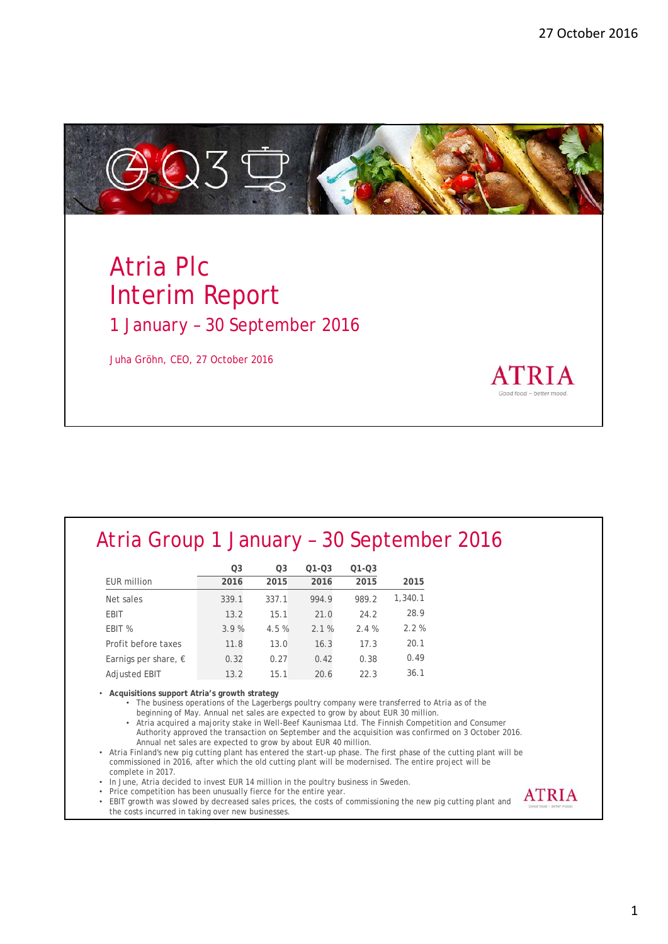27 October 2016



# Atria Plc Interim Report 1 January – 30 September 2016

Juha Gröhn, CEO, 27 October 2016

## Atria Group 1 January – 30 September 2016

|                               | O3    | Ο3    | $Q1 - Q3$ | 01-03 |         |
|-------------------------------|-------|-------|-----------|-------|---------|
| <b>EUR</b> million            | 2016  | 2015  | 2016      | 2015  | 2015    |
| Net sales                     | 339.1 | 337.1 | 994.9     | 989.2 | 1,340.1 |
| <b>EBIT</b>                   | 13.2  | 15.1  | 21.0      | 24.2  | 28.9    |
| EBIT %                        | 3.9%  | 4.5%  | 2.1%      | 2.4%  | 2.2%    |
| Profit before taxes           | 11.8  | 13.0  | 16.3      | 17.3  | 20.1    |
| Earnigs per share, $\epsilon$ | 0.32  | 0.27  | 0.42      | 0.38  | 0.49    |
| <b>Adiusted EBIT</b>          | 13.2  | 15.1  | 20.6      | 22.3  | 36.1    |

• **Acquisitions support Atria's growth strategy**

• The business operations of the Lagerbergs poultry company were transferred to Atria as of the beginning of May. Annual net sales are expected to grow by about EUR 30 million.

• Atria acquired a majority stake in Well-Beef Kaunismaa Ltd. The Finnish Competition and Consumer Authority approved the transaction on September and the acquisition was confirmed on 3 October 2016. Annual net sales are expected to grow by about EUR 40 million.

• Atria Finland's new pig cutting plant has entered the start-up phase. The first phase of the cutting plant will be commissioned in 2016, after which the old cutting plant will be modernised. The entire project will be complete in 2017.

• In June, Atria decided to invest EUR 14 million in the poultry business in Sweden.

• Price competition has been unusually fierce for the entire year.

• EBIT growth was slowed by decreased sales prices, the costs of commissioning the new pig cutting plant and the costs incurred in taking over new businesses.

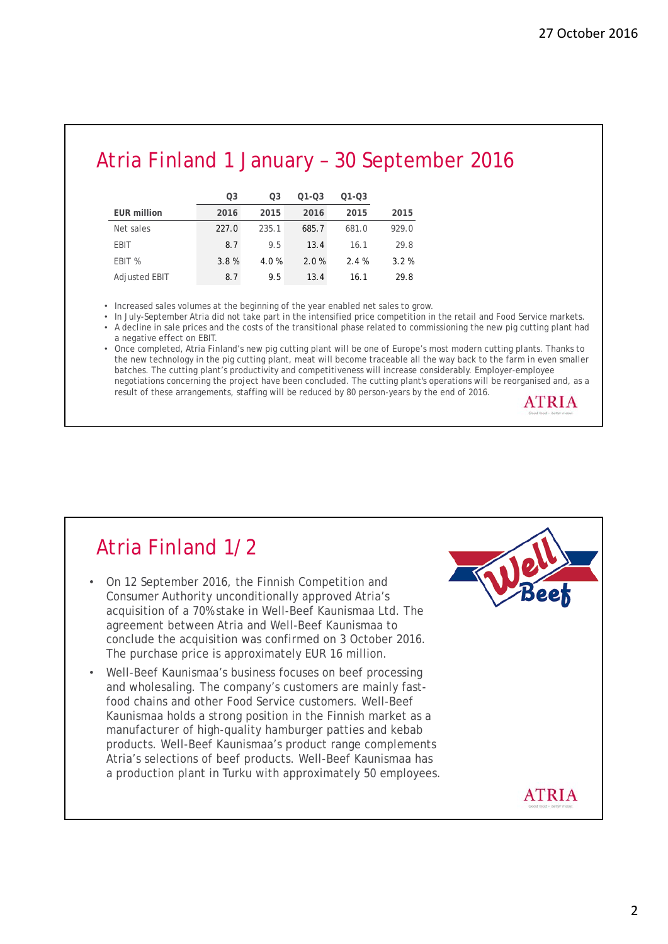## Atria Finland 1 January – 30 September 2016

|                    | Ο3    | O3    | $Q1 - Q3$ | $Q1 - Q3$ |       |
|--------------------|-------|-------|-----------|-----------|-------|
| <b>EUR million</b> | 2016  | 2015  | 2016      | 2015      | 2015  |
| Net sales          | 227.0 | 235.1 | 685.7     | 681.0     | 929.0 |
| <b>EBIT</b>        | 8.7   | 9.5   | 13.4      | 16.1      | 29.8  |
| EBIT %             | 3.8%  | 4.0%  | 2.0%      | 2.4%      | 3.2%  |
| Adjusted EBIT      | 8.7   | 9.5   | 13.4      | 16.1      | 29.8  |

• Increased sales volumes at the beginning of the year enabled net sales to grow.

• In July-September Atria did not take part in the intensified price competition in the retail and Food Service markets.

• A decline in sale prices and the costs of the transitional phase related to commissioning the new pig cutting plant had a negative effect on EBIT.

• Once completed, Atria Finland's new pig cutting plant will be one of Europe's most modern cutting plants. Thanks to the new technology in the pig cutting plant, meat will become traceable all the way back to the farm in even smaller batches. The cutting plant's productivity and competitiveness will increase considerably. Employer-employee negotiations concerning the project have been concluded. The cutting plant's operations will be reorganised and, as a result of these arrangements, staffing will be reduced by 80 person-years by the end of 2016.



#### Atria Finland 1/2 • On 12 September 2016, the Finnish Competition and Consumer Authority unconditionally approved Atria's acquisition of a 70% stake in Well-Beef Kaunismaa Ltd. The agreement between Atria and Well-Beef Kaunismaa to conclude the acquisition was confirmed on 3 October 2016. The purchase price is approximately EUR 16 million. • Well-Beef Kaunismaa's business focuses on beef processing and wholesaling. The company's customers are mainly fastfood chains and other Food Service customers. Well-Beef Kaunismaa holds a strong position in the Finnish market as a manufacturer of high-quality hamburger patties and kebab products. Well-Beef Kaunismaa's product range complements Atria's selections of beef products. Well-Beef Kaunismaa has a production plant in Turku with approximately 50 employees.**ATRIA**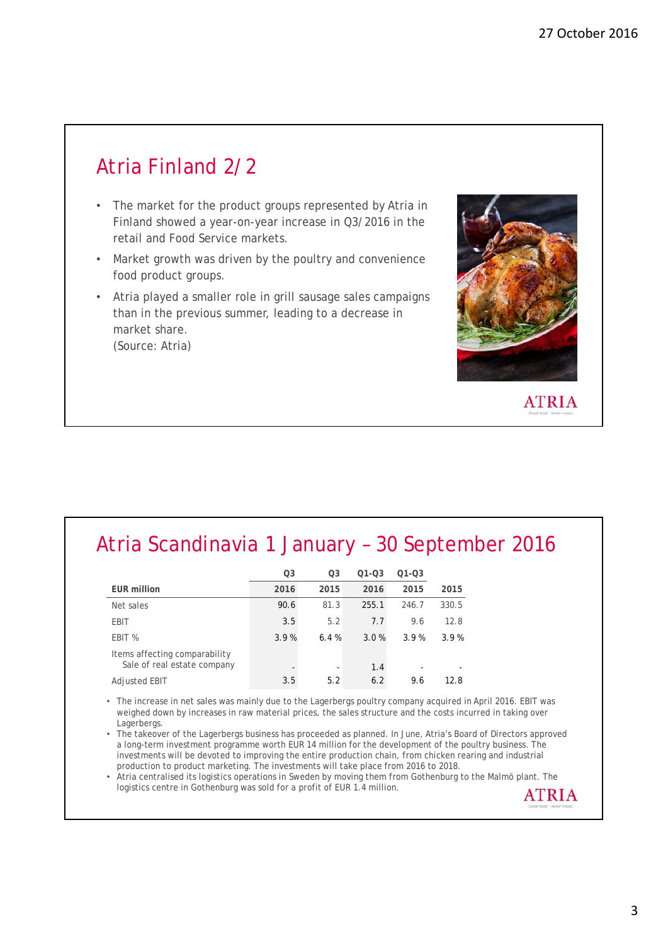**ATRIA** 

# Atria Finland 2/2

- The market for the product groups represented by Atria in Finland showed a year-on-year increase in Q3/2016 in the retail and Food Service markets.
- Market growth was driven by the poultry and convenience food product groups.
- Atria played a smaller role in grill sausage sales campaigns than in the previous summer, leading to a decrease in market share. (Source: Atria)

# Atria Scandinavia 1 January – 30 September 2016

|                                                              | Q3   | O <sub>3</sub> | $Q1 - Q3$ | $Q1 - Q3$                |       |
|--------------------------------------------------------------|------|----------------|-----------|--------------------------|-------|
| <b>EUR million</b>                                           | 2016 | 2015           | 2016      | 2015                     | 2015  |
| Net sales                                                    | 90.6 | 81.3           | 255.1     | 246.7                    | 330.5 |
| <b>EBIT</b>                                                  | 3.5  | 5.2            | 7.7       | 9.6                      | 12.8  |
| EBIT %                                                       | 3.9% | 6.4%           | 3.0%      | 3.9%                     | 3.9%  |
| Items affecting comparability<br>Sale of real estate company |      | -              | 1.4       | $\overline{\phantom{0}}$ |       |
| Adjusted EBIT                                                | 3.5  | 5.2            | 6.2       | 9.6                      | 12.8  |

• The increase in net sales was mainly due to the Lagerbergs poultry company acquired in April 2016. EBIT was weighed down by increases in raw material prices, the sales structure and the costs incurred in taking over **Lagerbergs** 

• The takeover of the Lagerbergs business has proceeded as planned. In June, Atria's Board of Directors approved a long-term investment programme worth EUR 14 million for the development of the poultry business. The investments will be devoted to improving the entire production chain, from chicken rearing and industrial production to product marketing. The investments will take place from 2016 to 2018.

• Atria centralised its logistics operations in Sweden by moving them from Gothenburg to the Malmö plant. The logistics centre in Gothenburg was sold for a profit of EUR 1.4 million.**ATRIA**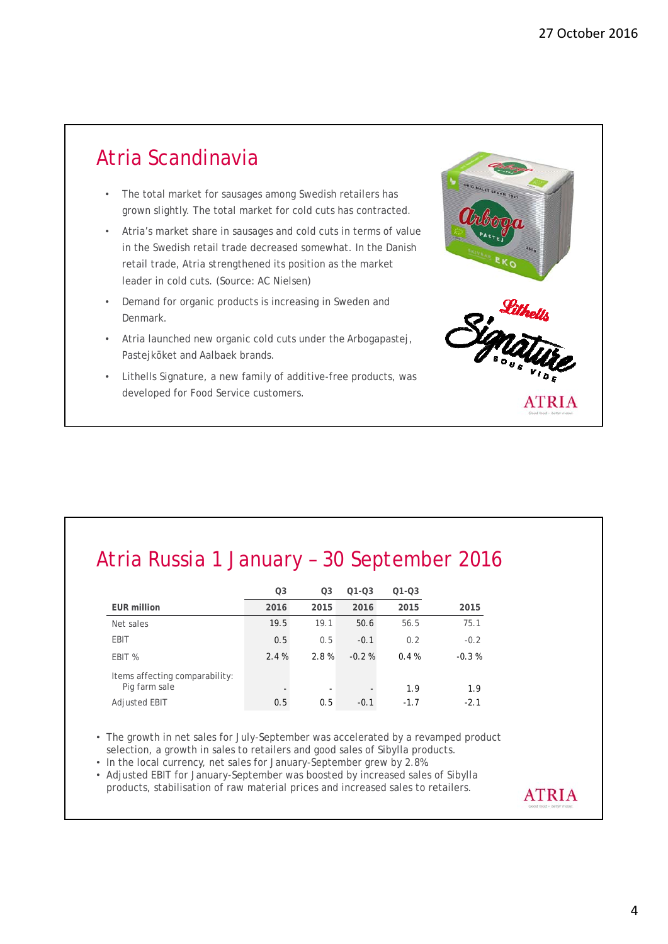### Atria Scandinavia

- The total market for sausages among Swedish retailers has grown slightly. The total market for cold cuts has contracted.
- Atria's market share in sausages and cold cuts in terms of value in the Swedish retail trade decreased somewhat. In the Danish retail trade, Atria strengthened its position as the market leader in cold cuts. (Source: AC Nielsen)
- Demand for organic products is increasing in Sweden and Denmark.
- Atria launched new organic cold cuts under the Arbogapastej, Pastejköket and Aalbaek brands.
- Lithells Signature, a new family of additive-free products, was developed for Food Service customers.

# Atria Russia 1 January – 30 September 2016

|                                                 | Q3   | Q3                       | $Q1 - Q3$                | $Q1 - Q3$ |         |
|-------------------------------------------------|------|--------------------------|--------------------------|-----------|---------|
| <b>EUR million</b>                              | 2016 | 2015                     | 2016                     | 2015      | 2015    |
| Net sales                                       | 19.5 | 19.1                     | 50.6                     | 56.5      | 75.1    |
| <b>EBIT</b>                                     | 0.5  | 0.5                      | $-0.1$                   | 0.2       | $-0.2$  |
| EBIT %                                          | 2.4% | 2.8%                     | $-0.2%$                  | 0.4%      | $-0.3%$ |
| Items affecting comparability:<br>Pig farm sale |      | $\overline{\phantom{a}}$ | $\overline{\phantom{a}}$ | 1.9       | 1.9     |
| Adjusted EBIT                                   | 0.5  | 0.5                      | $-0.1$                   | $-1.7$    | $-2.1$  |

- The growth in net sales for July-September was accelerated by a revamped product selection, a growth in sales to retailers and good sales of Sibylla products.
- In the local currency, net sales for January-September grew by 2.8%.
- Adjusted EBIT for January-September was boosted by increased sales of Sibylla products, stabilisation of raw material prices and increased sales to retailers.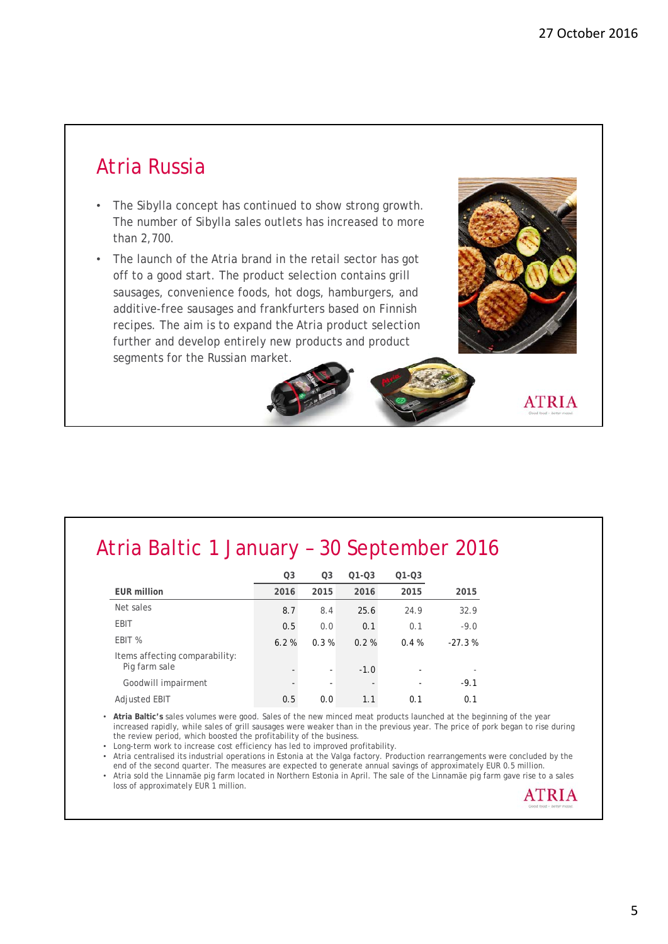## Atria Russia

- The Sibylla concept has continued to show strong growth. The number of Sibylla sales outlets has increased to more than 2,700.
- The launch of the Atria brand in the retail sector has got off to a good start. The product selection contains grill sausages, convenience foods, hot dogs, hamburgers, and additive-free sausages and frankfurters based on Finnish recipes. The aim is to expand the Atria product selection further and develop entirely new products and product segments for the Russian market.

## Atria Baltic 1 January – 30 September 2016

|                                                 | <b>Q3</b> | O <sub>3</sub> | $Q1 - Q3$ | $Q1 - Q3$                |          |
|-------------------------------------------------|-----------|----------------|-----------|--------------------------|----------|
| <b>EUR million</b>                              | 2016      | 2015           | 2016      | 2015                     | 2015     |
| Net sales                                       | 8.7       | 8.4            | 25.6      | 24.9                     | 32.9     |
| <b>EBIT</b>                                     | 0.5       | 0.0            | 0.1       | 0.1                      | $-9.0$   |
| EBIT %                                          | 6.2%      | 0.3%           | 0.2%      | 0.4%                     | $-27.3%$ |
| Items affecting comparability:<br>Pig farm sale |           | ٠              | $-1.0$    | $\overline{\phantom{a}}$ |          |
| Goodwill impairment                             |           |                |           |                          | $-9.1$   |
| <b>Adjusted EBIT</b>                            | 0.5       | 0.0            | 1.1       | 0.1                      | 0.1      |

• **Atria Baltic's** sales volumes were good. Sales of the new minced meat products launched at the beginning of the year increased rapidly, while sales of grill sausages were weaker than in the previous year. The price of pork began to rise during the review period, which boosted the profitability of the business.

• Long-term work to increase cost efficiency has led to improved profitability.

• Atria centralised its industrial operations in Estonia at the Valga factory. Production rearrangements were concluded by the end of the second quarter. The measures are expected to generate annual savings of approximately EUR 0.5 million.

• Atria sold the Linnamäe pig farm located in Northern Estonia in April. The sale of the Linnamäe pig farm gave rise to a sales loss of approximately EUR 1 million.

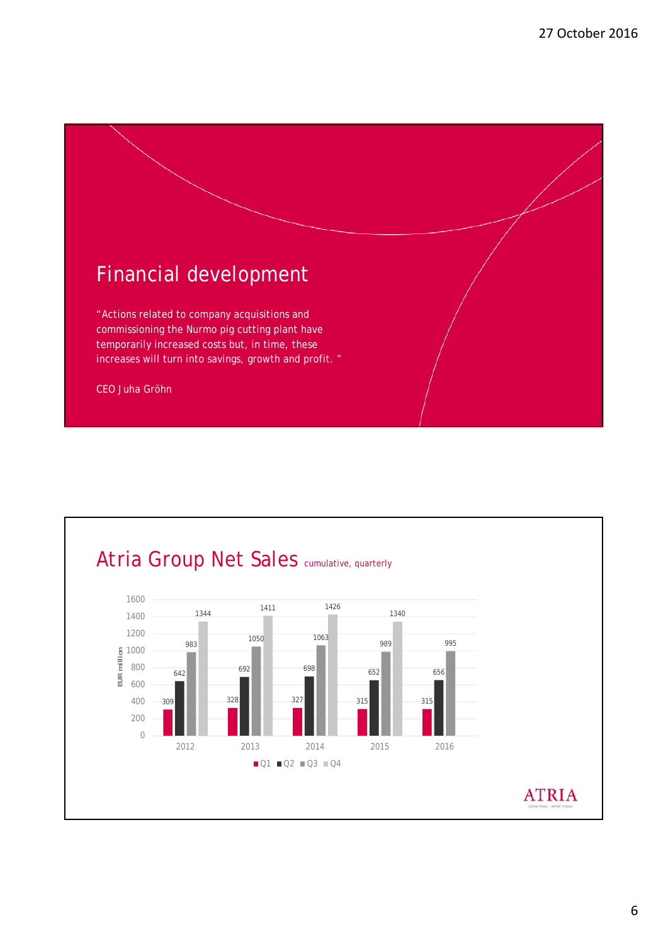

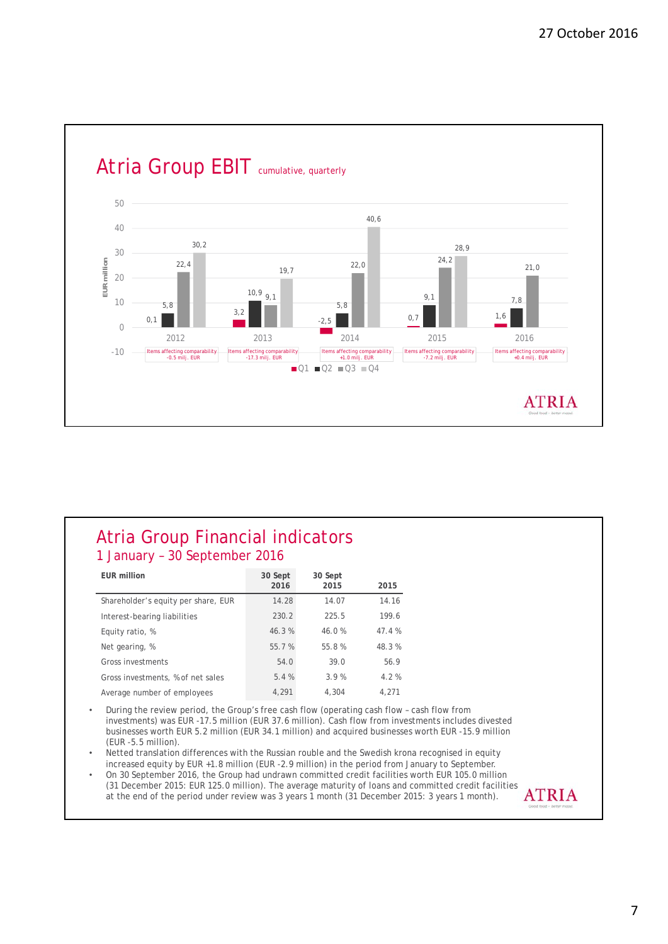

#### Atria Group Financial indicators 1 January – 30 September 2016

| EUR million                         | 30 Sept<br>2016 | 30 Sept<br>2015 | 2015  |
|-------------------------------------|-----------------|-----------------|-------|
| Shareholder's equity per share, EUR | 14.28           | 14.07           | 14.16 |
| Interest-bearing liabilities        | 230.2           | 225.5           | 199.6 |
| Equity ratio, %                     | 46.3%           | 46.0%           | 47.4% |
| Net gearing, %                      | 55.7%           | 55.8%           | 48.3% |
| Gross investments                   | 54.0            | 39.0            | 56.9  |
| Gross investments, % of net sales   | 5.4%            | 3.9%            | 4.2%  |
| Average number of employees         | 4,291           | 4.304           | 4.271 |

• During the review period, the Group's free cash flow (operating cash flow – cash flow from investments) was EUR -17.5 million (EUR 37.6 million). Cash flow from investments includes divested businesses worth EUR 5.2 million (EUR 34.1 million) and acquired businesses worth EUR -15.9 million (EUR -5.5 million).

• Netted translation differences with the Russian rouble and the Swedish krona recognised in equity increased equity by EUR +1.8 million (EUR -2.9 million) in the period from January to September.

• On 30 September 2016, the Group had undrawn committed credit facilities worth EUR 105.0 million (31 December 2015: EUR 125.0 million). The average maturity of loans and committed credit facilities **ATRIA** at the end of the period under review was 3 years 1 month (31 December 2015: 3 years 1 month).

7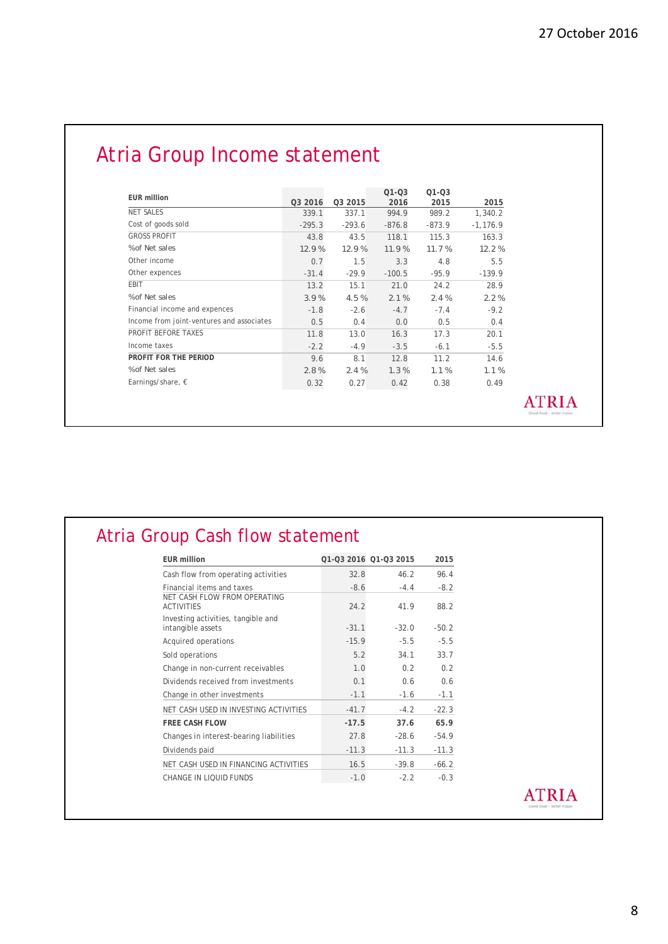# Atria Group Income statement

| <b>EUR million</b>                        |          |          | $Q1 - Q3$ | $O1 - O3$ |            |
|-------------------------------------------|----------|----------|-----------|-----------|------------|
|                                           | Q3 2016  | Q3 2015  | 2016      | 2015      | 2015       |
| <b>NET SALES</b>                          | 339.1    | 337.1    | 994.9     | 989.2     | 1.340.2    |
| Cost of goods sold                        | $-295.3$ | $-293.6$ | $-876.8$  | $-873.9$  | $-1,176.9$ |
| <b>GROSS PROFIT</b>                       | 43.8     | 43.5     | 118.1     | 115.3     | 163.3      |
| % of Net sales                            | 12.9%    | 12.9%    | 11.9%     | 11.7%     | 12.2%      |
| Other income                              | 0.7      | 1.5      | 3.3       | 4.8       | 5.5        |
| Other expences                            | $-31.4$  | $-29.9$  | $-100.5$  | $-95.9$   | $-139.9$   |
| EBIT                                      | 13.2     | 15.1     | 21.0      | 24.2      | 28.9       |
| % of Net sales                            | 3.9%     | 4.5%     | 2.1%      | 2.4%      | 2.2%       |
| Financial income and expences             | $-1.8$   | $-2.6$   | $-4.7$    | $-7.4$    | $-9.2$     |
| Income from joint-ventures and associates | 0.5      | 0.4      | 0.0       | 0.5       | 0.4        |
| PROFIT BEFORE TAXES                       | 11.8     | 13.0     | 16.3      | 17.3      | 20.1       |
| Income taxes                              | $-2.2$   | $-4.9$   | $-3.5$    | $-6.1$    | $-5.5$     |
| PROFIT FOR THE PERIOD                     | 9.6      | 8.1      | 12.8      | 11.2      | 14.6       |
| % of Net sales                            | 2.8%     | 2.4%     | 1.3%      | 1.1%      | 1.1%       |
| Earnings/share, $\epsilon$                | 0.32     | 0.27     | 0.42      | 0.38      | 0.49       |

#### Atria Group Cash flow statement

| <b>EUR million</b>                                      |         | Q1-Q3 2016 Q1-Q3 2015 | 2015    |
|---------------------------------------------------------|---------|-----------------------|---------|
| Cash flow from operating activities                     | 32.8    | 46.2                  | 96.4    |
| Financial items and taxes                               | $-8.6$  | $-4.4$                | $-8.2$  |
| NET CASH FLOW FROM OPERATING<br><b>ACTIVITIES</b>       | 24.2    | 41.9                  | 88.2    |
| Investing activities, tangible and<br>intangible assets | $-31.1$ | $-32.0$               | $-50.2$ |
| Acquired operations                                     | $-15.9$ | $-5.5$                | $-5.5$  |
| Sold operations                                         | 5.2     | 34.1                  | 33.7    |
| Change in non-current receivables                       | 1.0     | 0 <sub>2</sub>        | 0.2     |
| Dividends received from investments                     | 0.1     | 0.6                   | 0.6     |
| Change in other investments                             | $-1.1$  | $-1.6$                | $-1.1$  |
| NET CASH USED IN INVESTING ACTIVITIES                   | $-41.7$ | $-4.2$                | $-22.3$ |
| <b>FREE CASH FLOW</b>                                   | $-17.5$ | 37.6                  | 65.9    |
| Changes in interest-bearing liabilities                 | 27.8    | $-28.6$               | $-54.9$ |
| Dividends paid                                          | $-11.3$ | $-11.3$               | $-11.3$ |
| NET CASH USED IN FINANCING ACTIVITIES                   | 16.5    | $-39.8$               | $-66.2$ |
| CHANGE IN LIOUID FUNDS                                  | $-1.0$  | $-2.2$                | $-0.3$  |

#### **ATRIA**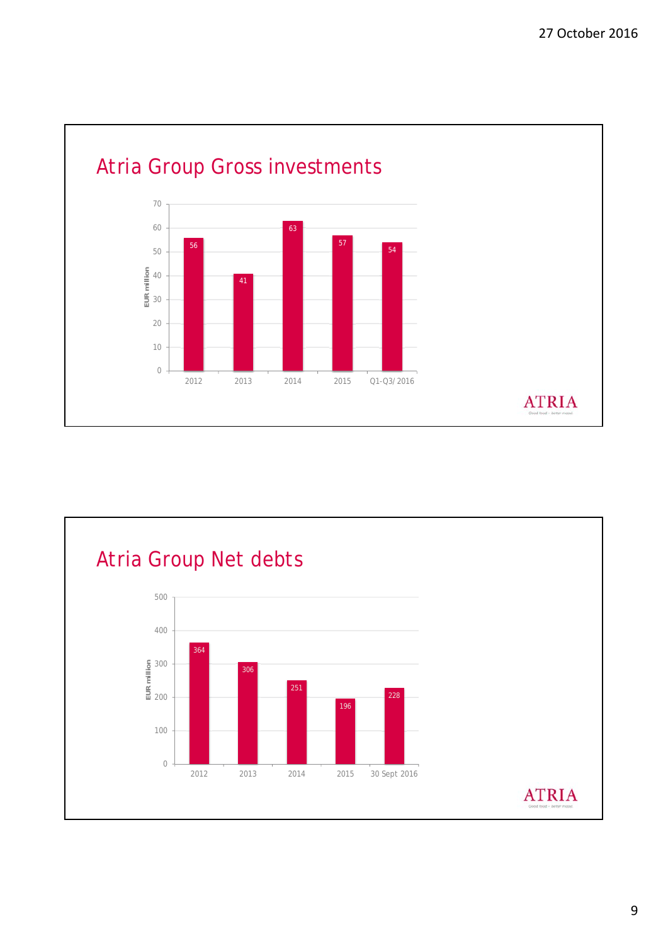

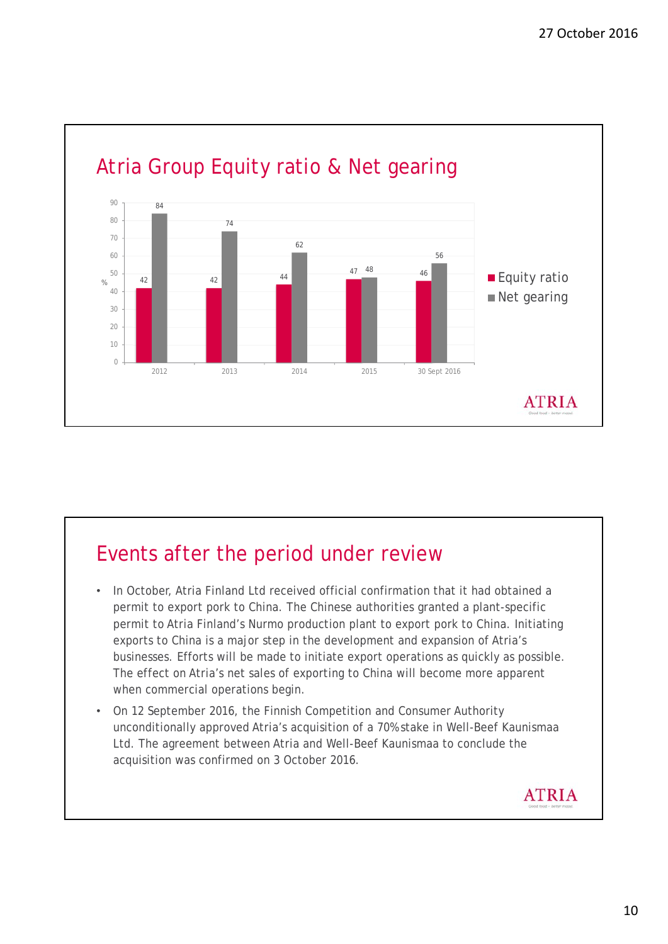

## Events after the period under review

- In October, Atria Finland Ltd received official confirmation that it had obtained a permit to export pork to China. The Chinese authorities granted a plant-specific permit to Atria Finland's Nurmo production plant to export pork to China. Initiating exports to China is a major step in the development and expansion of Atria's businesses. Efforts will be made to initiate export operations as quickly as possible. The effect on Atria's net sales of exporting to China will become more apparent when commercial operations begin.
- On 12 September 2016, the Finnish Competition and Consumer Authority unconditionally approved Atria's acquisition of a 70% stake in Well-Beef Kaunismaa Ltd. The agreement between Atria and Well-Beef Kaunismaa to conclude the acquisition was confirmed on 3 October 2016.

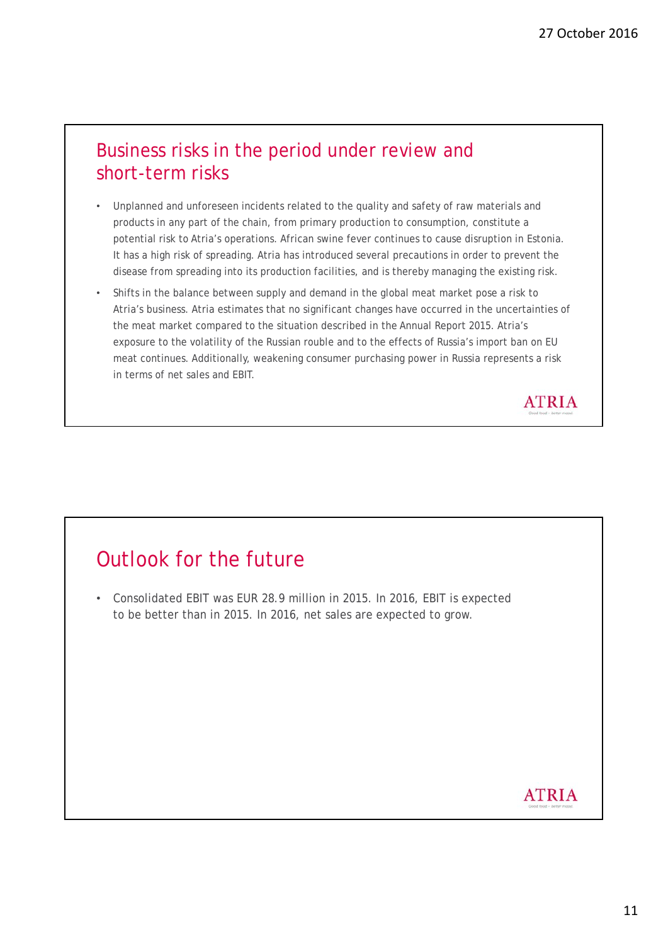#### Business risks in the period under review and short-term risks

- Unplanned and unforeseen incidents related to the quality and safety of raw materials and products in any part of the chain, from primary production to consumption, constitute a potential risk to Atria's operations. African swine fever continues to cause disruption in Estonia. It has a high risk of spreading. Atria has introduced several precautions in order to prevent the disease from spreading into its production facilities, and is thereby managing the existing risk.
- Shifts in the balance between supply and demand in the global meat market pose a risk to Atria's business. Atria estimates that no significant changes have occurred in the uncertainties of the meat market compared to the situation described in the Annual Report 2015. Atria's exposure to the volatility of the Russian rouble and to the effects of Russia's import ban on EU meat continues. Additionally, weakening consumer purchasing power in Russia represents a risk in terms of net sales and EBIT.



## Outlook for the future

• Consolidated EBIT was EUR 28.9 million in 2015. In 2016, EBIT is expected to be better than in 2015. In 2016, net sales are expected to grow.